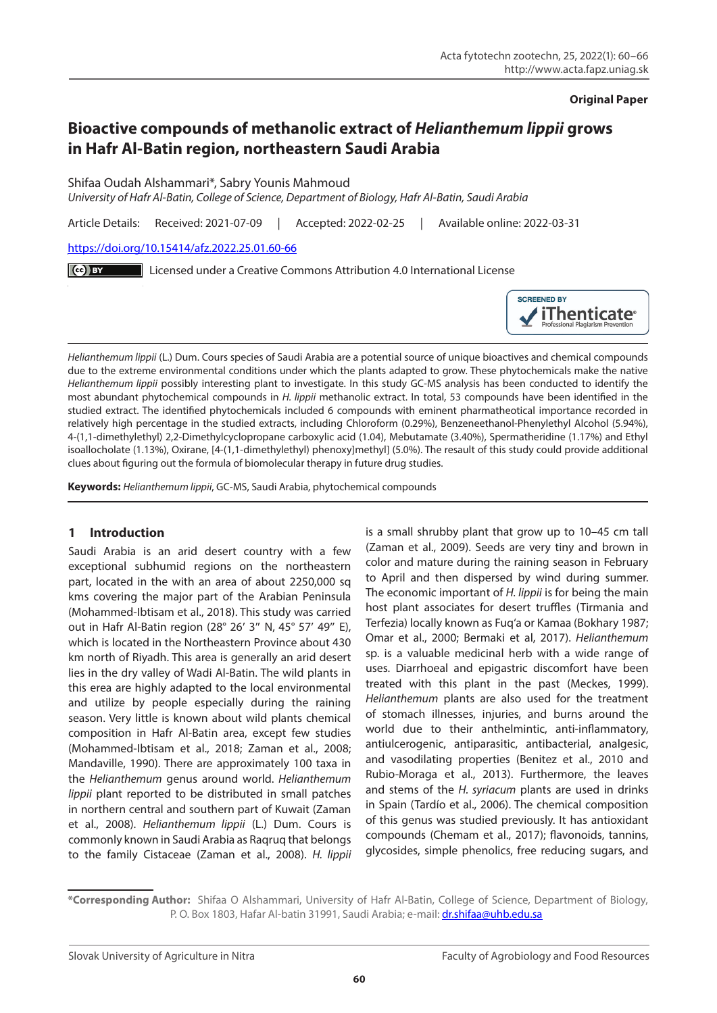### **Original Paper**

# **Bioactive compounds of methanolic extract of** *Helianthemum lippii* **grows in Hafr Al-Batin region, northeastern Saudi Arabia**

Shifaa Oudah Alshammari\*, Sabry Younis Mahmoud

*University of Hafr Al-Batin, College of Science, Department of Biology, Hafr Al-Batin, Saudi Arabia*

Article Details: Received: 2021-07-09 | Accepted: 2022-02-25 | Available online: 2022-03-31

[https://doi.org/10.15414/afz.2022.25.01.60-66](https://doi.org/10.15414/afz.2022.25.01.60-66
)

Licensed under a Creative Commons Attribution 4.0 International License



*Helianthemum lippii* (L.) Dum. Cours species of Saudi Arabia are a potential source of unique bioactives and chemical compounds due to the extreme environmental conditions under which the plants adapted to grow. These phytochemicals make the native *Helianthemum lippii* possibly interesting plant to investigate. In this study GC-MS analysis has been conducted to identify the most abundant phytochemical compounds in *H. lippii* methanolic extract. In total, 53 compounds have been identified in the studied extract. The identified phytochemicals included 6 compounds with eminent pharmatheotical importance recorded in relatively high percentage in the studied extracts, including Chloroform (0.29%), Benzeneethanol-Phenylethyl Alcohol (5.94%), 4-(1,1-dimethylethyl) 2,2-Dimethylcyclopropane carboxylic acid (1.04), Mebutamate (3.40%), Spermatheridine (1.17%) and Ethyl isoallocholate (1.13%), Oxirane, [4-(1,1-dimethylethyl) phenoxy]methyl] (5.0%). The resault of this study could provide additional clues about figuring out the formula of biomolecular therapy in future drug studies.

**Keywords:** *Helianthemum lippii*, GC-MS, Saudi Arabia, phytochemical compounds

# **1 Introduction**

Saudi Arabia is an arid desert country with a few exceptional subhumid regions on the northeastern part, located in the with an area of about 2250,000 sq kms covering the major part of the Arabian Peninsula (Mohammed-Ibtisam et al., 2018). This study was carried out in Hafr Al-Batin region (28° 26′ 3″ N, 45° 57′ 49″ E), which is located in the Northeastern Province about 430 km north of Riyadh. This area is generally an arid desert lies in the dry valley of Wadi Al-Batin. The wild plants in this erea are highly adapted to the local environmental and utilize by people especially during the raining season. Very little is known about wild plants chemical composition in Hafr Al-Batin area, except few studies (Mohammed-Ibtisam et al., 2018; Zaman et al., 2008; Mandaville, 1990). There are approximately 100 taxa in the *Helianthemum* genus around world. *Helianthemum lippii* plant reported to be distributed in small patches in northern central and southern part of Kuwait (Zaman et al., 2008). *Helianthemum lippii* (L.) Dum. Cours is commonly known in Saudi Arabia as Raqruq that belongs to the family Cistaceae (Zaman et al., 2008). *H. lippii*  is a small shrubby plant that grow up to 10–45 cm tall (Zaman et al., 2009). Seeds are very tiny and brown in color and mature during the raining season in February to April and then dispersed by wind during summer. The economic important of *H. lippii* is for being the main host plant associates for desert truffles (Tirmania and Terfezia) locally known as Fuq'a or Kamaa (Bokhary 1987; Omar et al., 2000; Bermaki et al, 2017). *Helianthemum* sp. is a valuable medicinal herb with a wide range of uses. Diarrhoeal and epigastric discomfort have been treated with this plant in the past (Meckes, 1999). *Helianthemum* plants are also used for the treatment of stomach illnesses, injuries, and burns around the world due to their anthelmintic, anti-inflammatory, antiulcerogenic, antiparasitic, antibacterial, analgesic, and vasodilating properties (Benitez et al., 2010 and Rubio-Moraga et al., 2013). Furthermore, the leaves and stems of the *H. syriacum* plants are used in drinks in Spain (Tardío et al., 2006). The chemical composition of this genus was studied previously. It has antioxidant compounds (Chemam et al., 2017); flavonoids, tannins, glycosides, simple phenolics, free reducing sugars, and

**<sup>\*</sup>Corresponding Author:** Shifaa O Alshammari, University of Hafr Al-Batin, College of Science, Department of Biology, P. O. Box 1803, Hafar Al-batin 31991, Saudi Arabia; e-mail: [dr.shifaa@uhb.edu.sa](mailto:dr.shifaa%40uhb.edu.sa?subject=)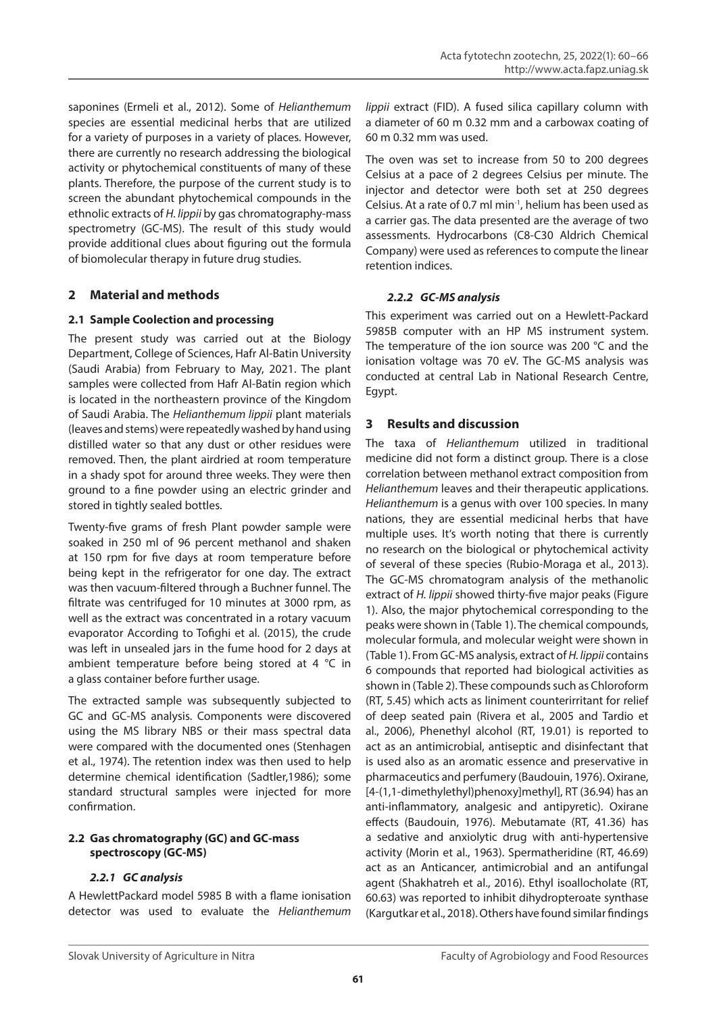saponines (Ermeli et al., 2012). Some of *Helianthemum* species are essential medicinal herbs that are utilized for a variety of purposes in a variety of places. However, there are currently no research addressing the biological activity or phytochemical constituents of many of these plants. Therefore, the purpose of the current study is to screen the abundant phytochemical compounds in the ethnolic extracts of *H. lippii* by gas chromatography-mass spectrometry (GC-MS). The result of this study would provide additional clues about figuring out the formula of biomolecular therapy in future drug studies.

# **2 Material and methods**

# **2.1 Sample Coolection and processing**

The present study was carried out at the Biology Department, College of Sciences, Hafr Al-Batin University (Saudi Arabia) from February to May, 2021. The plant samples were collected from Hafr Al-Batin region which is located in the northeastern province of the Kingdom of Saudi Arabia. The *Helianthemum lippii* plant materials (leaves and stems) were repeatedly washed by hand using distilled water so that any dust or other residues were removed. Then, the plant airdried at room temperature in a shady spot for around three weeks. They were then ground to a fine powder using an electric grinder and stored in tightly sealed bottles.

Twenty-five grams of fresh Plant powder sample were soaked in 250 ml of 96 percent methanol and shaken at 150 rpm for five days at room temperature before being kept in the refrigerator for one day. The extract was then vacuum-filtered through a Buchner funnel. The filtrate was centrifuged for 10 minutes at 3000 rpm, as well as the extract was concentrated in a rotary vacuum evaporator According to Tofighi et al. (2015), the crude was left in unsealed jars in the fume hood for 2 days at ambient temperature before being stored at 4 °C in a glass container before further usage.

The extracted sample was subsequently subjected to GC and GC-MS analysis. Components were discovered using the MS library NBS or their mass spectral data were compared with the documented ones (Stenhagen et al., 1974). The retention index was then used to help determine chemical identification (Sadtler,1986); some standard structural samples were injected for more confirmation.

# **2.2 Gas chromatography (GC) and GC-mass spectroscopy (GC-MS)**

# *2.2.1 GC analysis*

A HewlettPackard model 5985 B with a flame ionisation detector was used to evaluate the *Helianthemum* 

*lippii* extract (FID). A fused silica capillary column with a diameter of 60 m 0.32 mm and a carbowax coating of 60 m 0.32 mm was used.

The oven was set to increase from 50 to 200 degrees Celsius at a pace of 2 degrees Celsius per minute. The injector and detector were both set at 250 degrees Celsius. At a rate of 0.7 ml min $<sup>-1</sup>$ , helium has been used as</sup> a carrier gas. The data presented are the average of two assessments. Hydrocarbons (C8-C30 Aldrich Chemical Company) were used as references to compute the linear retention indices.

# *2.2.2 GC-MS analysis*

This experiment was carried out on a Hewlett-Packard 5985B computer with an HP MS instrument system. The temperature of the ion source was 200 °C and the ionisation voltage was 70 eV. The GC-MS analysis was conducted at central Lab in National Research Centre, Egypt.

# **3 Results and discussion**

The taxa of *Helianthemum* utilized in traditional medicine did not form a distinct group. There is a close correlation between methanol extract composition from *Helianthemum* leaves and their therapeutic applications. *Helianthemum* is a genus with over 100 species. In many nations, they are essential medicinal herbs that have multiple uses. It's worth noting that there is currently no research on the biological or phytochemical activity of several of these species (Rubio-Moraga et al., 2013). The GC-MS chromatogram analysis of the methanolic extract of *H. lippii* showed thirty-five major peaks (Figure 1). Also, the major phytochemical corresponding to the peaks were shown in (Table 1). The chemical compounds, molecular formula, and molecular weight were shown in (Table 1). From GC-MS analysis, extract of *H. lippii* contains 6 compounds that reported had biological activities as shown in (Table 2). These compounds such as Chloroform (RT, 5.45) which acts as liniment counterirritant for relief of deep seated pain (Rivera et al., 2005 and Tardio et al., 2006), Phenethyl alcohol (RT, 19.01) is reported to act as an antimicrobial, antiseptic and disinfectant that is used also as an aromatic essence and preservative in pharmaceutics and perfumery (Baudouin, 1976). Oxirane, [4-(1,1-dimethylethyl)phenoxy]methyl], RT (36.94) has an anti-inflammatory, analgesic and antipyretic). Oxirane effects (Baudouin, 1976). Mebutamate (RT, 41.36) has a sedative and anxiolytic drug with anti-hypertensive activity (Morin et al., 1963). Spermatheridine (RT, 46.69) act as an Anticancer, antimicrobial and an antifungal agent (Shakhatreh et al., 2016). Ethyl isoallocholate (RT, 60.63) was reported to inhibit dihydropteroate synthase (Kargutkar et al., 2018). Others have found similar findings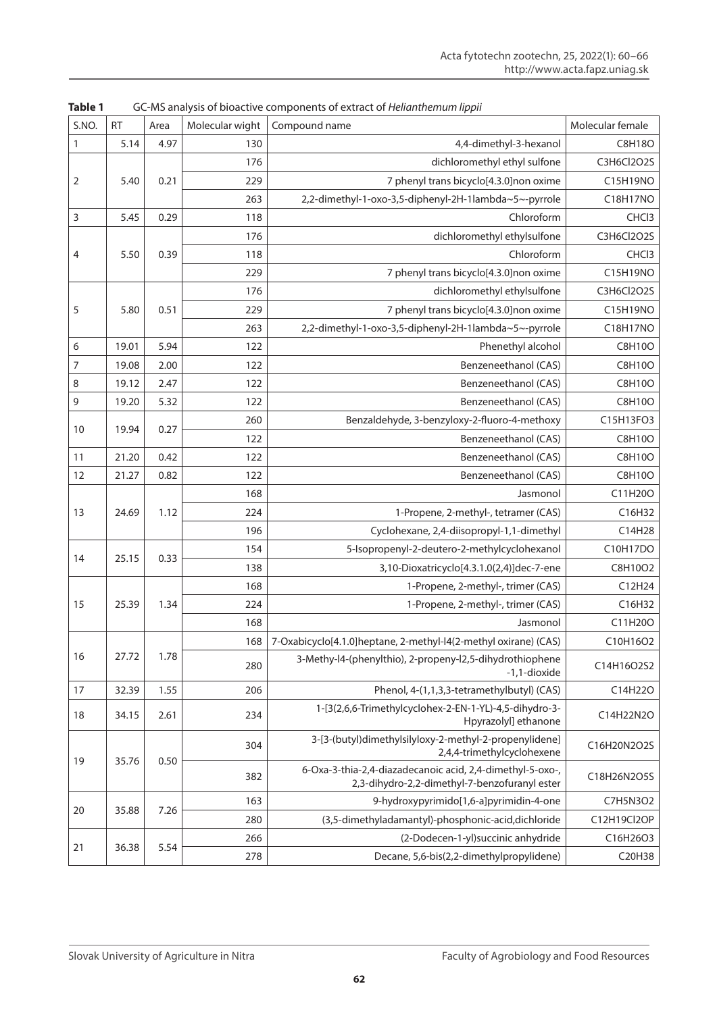| S.NO.        | <b>RT</b> | Area | Molecular wight | Compound name                                                                                              | Molecular female |
|--------------|-----------|------|-----------------|------------------------------------------------------------------------------------------------------------|------------------|
| $\mathbf{1}$ | 5.14      | 4.97 | 130             | 4,4-dimethyl-3-hexanol                                                                                     | C8H18O           |
|              |           |      | 176             | dichloromethyl ethyl sulfone                                                                               | C3H6Cl2O2S       |
| 2            | 5.40      | 0.21 | 229             | 7 phenyl trans bicyclo[4.3.0]non oxime                                                                     | C15H19NO         |
|              |           |      | 263             | 2,2-dimethyl-1-oxo-3,5-diphenyl-2H-1lambda~5~-pyrrole                                                      | C18H17NO         |
| 3            | 5.45      | 0.29 | 118             | Chloroform                                                                                                 | CHC <sub>3</sub> |
| 4            | 5.50      | 0.39 | 176             | dichloromethyl ethylsulfone                                                                                | C3H6Cl2O2S       |
|              |           |      | 118             | Chloroform                                                                                                 | CHC <sub>3</sub> |
|              |           |      | 229             | 7 phenyl trans bicyclo[4.3.0]non oxime                                                                     | C15H19NO         |
| 5            | 5.80      | 0.51 | 176             | dichloromethyl ethylsulfone                                                                                | C3H6Cl2O2S       |
|              |           |      | 229             | 7 phenyl trans bicyclo[4.3.0]non oxime                                                                     | C15H19NO         |
|              |           |      | 263             | 2,2-dimethyl-1-oxo-3,5-diphenyl-2H-1lambda~5~-pyrrole                                                      | C18H17NO         |
| 6            | 19.01     | 5.94 | 122             | Phenethyl alcohol                                                                                          | C8H10O           |
| 7            | 19.08     | 2.00 | 122             | Benzeneethanol (CAS)                                                                                       | C8H10O           |
| 8            | 19.12     | 2.47 | 122             | Benzeneethanol (CAS)                                                                                       | C8H10O           |
| $\mathsf 9$  | 19.20     | 5.32 | 122             | Benzeneethanol (CAS)                                                                                       | C8H10O           |
|              | 19.94     | 0.27 | 260             | Benzaldehyde, 3-benzyloxy-2-fluoro-4-methoxy                                                               | C15H13FO3        |
| 10           |           |      | 122             | Benzeneethanol (CAS)                                                                                       | C8H10O           |
| 11           | 21.20     | 0.42 | 122             | Benzeneethanol (CAS)                                                                                       | C8H10O           |
| 12           | 21.27     | 0.82 | 122             | Benzeneethanol (CAS)                                                                                       | C8H10O           |
| 13           | 24.69     | 1.12 | 168             | Jasmonol                                                                                                   | C11H20O          |
|              |           |      | 224             | 1-Propene, 2-methyl-, tetramer (CAS)                                                                       | C16H32           |
|              |           |      | 196             | Cyclohexane, 2,4-diisopropyl-1,1-dimethyl                                                                  | C14H28           |
| 14           | 25.15     | 0.33 | 154             | 5-Isopropenyl-2-deutero-2-methylcyclohexanol                                                               | C10H17DO         |
|              |           |      | 138             | 3,10-Dioxatricyclo[4.3.1.0(2,4)]dec-7-ene                                                                  | C8H10O2          |
|              | 25.39     | 1.34 | 168             | 1-Propene, 2-methyl-, trimer (CAS)                                                                         | C12H24           |
| 15           |           |      | 224             | 1-Propene, 2-methyl-, trimer (CAS)                                                                         | C16H32           |
|              |           |      | 168             | Jasmonol                                                                                                   | C11H20O          |
|              | 27.72     | 1.78 | 168             | 7-Oxabicyclo[4.1.0]heptane, 2-methyl-l4(2-methyl oxirane) (CAS)                                            | C10H16O2         |
| 16           |           |      | 280             | 3-Methy-l4-(phenylthio), 2-propeny-l2,5-dihydrothiophene<br>-1,1-dioxide                                   | C14H16O2S2       |
| 17           | 32.39     | 1.55 | 206             | Phenol, 4-(1,1,3,3-tetramethylbutyl) (CAS)                                                                 | C14H22O          |
| 18           | 34.15     | 2.61 | 234             | 1-[3(2,6,6-Trimethylcyclohex-2-EN-1-YL)-4,5-dihydro-3-<br>Hpyrazolyl] ethanone                             | C14H22N2O        |
| 19           | 35.76     | 0.50 | 304             | 3-[3-(butyl)dimethylsilyloxy-2-methyl-2-propenylidene]<br>2,4,4-trimethylcyclohexene                       | C16H20N2O2S      |
|              |           |      | 382             | 6-Oxa-3-thia-2,4-diazadecanoic acid, 2,4-dimethyl-5-oxo-,<br>2,3-dihydro-2,2-dimethyl-7-benzofuranyl ester | C18H26N2O5S      |
|              | 35.88     | 7.26 | 163             | 9-hydroxypyrimido[1,6-a]pyrimidin-4-one                                                                    | C7H5N3O2         |
| 20           |           |      | 280             | (3,5-dimethyladamantyl)-phosphonic-acid,dichloride                                                         | C12H19Cl2OP      |
|              | 36.38     |      | 266             | (2-Dodecen-1-yl) succinic anhydride                                                                        | C16H26O3         |
| 21           |           | 5.54 | 278             | Decane, 5,6-bis(2,2-dimethylpropylidene)                                                                   | C20H38           |

**Table 1** GC-MS analysis of bioactive components of extract of *Helianthemum lippii*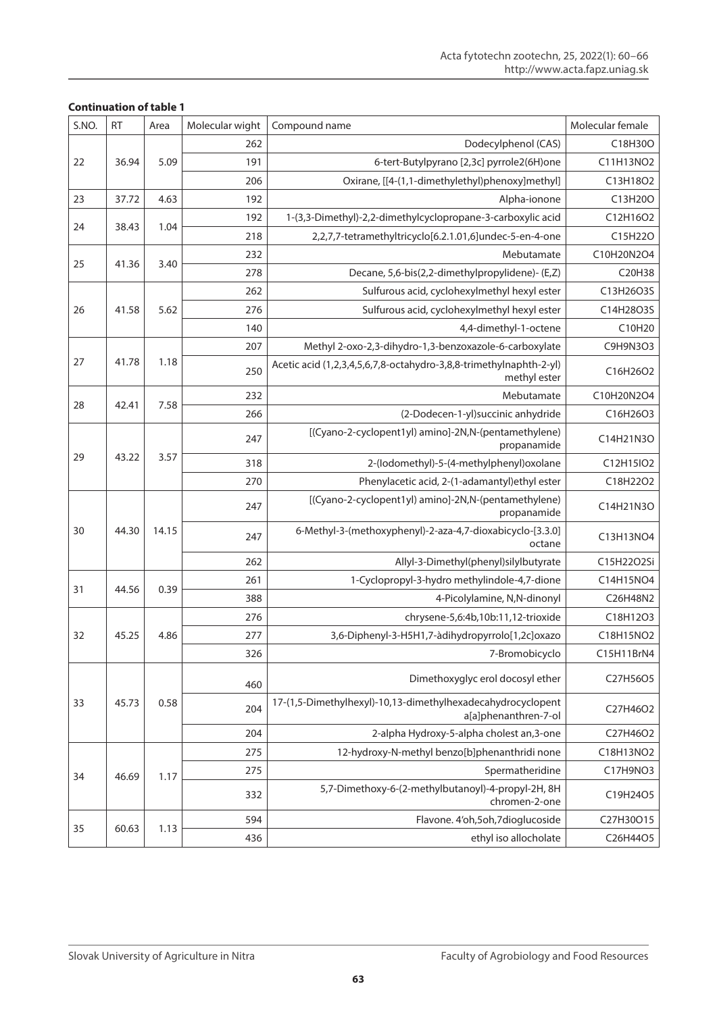| S.NO. | <b>RT</b> | Area  | Molecular wight | Compound name                                                                       | Molecular female |
|-------|-----------|-------|-----------------|-------------------------------------------------------------------------------------|------------------|
|       | 36.94     | 5.09  | 262             | Dodecylphenol (CAS)                                                                 | C18H30O          |
| 22    |           |       | 191             | 6-tert-Butylpyrano [2,3c] pyrrole2(6H)one                                           | C11H13NO2        |
|       |           |       | 206             | Oxirane, [[4-(1,1-dimethylethyl)phenoxy]methyl]                                     | C13H18O2         |
| 23    | 37.72     | 4.63  | 192             | Alpha-ionone                                                                        | C13H20O          |
| 24    | 38.43     | 1.04  | 192             | 1-(3,3-Dimethyl)-2,2-dimethylcyclopropane-3-carboxylic acid                         | C12H16O2         |
|       |           |       | 218             | 2,2,7,7-tetramethyltricyclo[6.2.1.01,6]undec-5-en-4-one                             | C15H22O          |
|       |           | 3.40  | 232             | Mebutamate                                                                          | C10H20N2O4       |
| 25    | 41.36     |       | 278             | Decane, 5,6-bis(2,2-dimethylpropylidene)- (E,Z)                                     | C20H38           |
| 26    | 41.58     | 5.62  | 262             | Sulfurous acid, cyclohexylmethyl hexyl ester                                        | C13H26O3S        |
|       |           |       | 276             | Sulfurous acid, cyclohexylmethyl hexyl ester                                        | C14H28O3S        |
|       |           |       | 140             | 4,4-dimethyl-1-octene                                                               | C10H20           |
| 27    |           | 1.18  | 207             | Methyl 2-oxo-2,3-dihydro-1,3-benzoxazole-6-carboxylate                              | C9H9N3O3         |
|       | 41.78     |       | 250             | Acetic acid (1,2,3,4,5,6,7,8-octahydro-3,8,8-trimethylnaphth-2-yl)<br>methyl ester  | C16H26O2         |
|       |           | 7.58  | 232             | Mebutamate                                                                          | C10H20N2O4       |
| 28    | 42.41     |       | 266             | (2-Dodecen-1-yl) succinic anhydride                                                 | C16H26O3         |
| 29    | 43.22     | 3.57  | 247             | [(Cyano-2-cyclopent1yl) amino]-2N,N-(pentamethylene)<br>propanamide                 | C14H21N3O        |
|       |           |       | 318             | 2-(lodomethyl)-5-(4-methylphenyl)oxolane                                            | C12H15IO2        |
|       |           |       | 270             | Phenylacetic acid, 2-(1-adamantyl)ethyl ester                                       | C18H22O2         |
|       | 44.30     | 14.15 | 247             | [(Cyano-2-cyclopent1yl) amino]-2N,N-(pentamethylene)<br>propanamide                 | C14H21N3O        |
| 30    |           |       | 247             | 6-Methyl-3-(methoxyphenyl)-2-aza-4,7-dioxabicyclo-[3.3.0]<br>octane                 | C13H13NO4        |
|       |           |       | 262             | Allyl-3-Dimethyl(phenyl)silylbutyrate                                               | C15H22O2Si       |
| 31    |           | 0.39  | 261             | 1-Cyclopropyl-3-hydro methylindole-4,7-dione                                        | C14H15NO4        |
|       | 44.56     |       | 388             | 4-Picolylamine, N,N-dinonyl                                                         | C26H48N2         |
|       | 45.25     | 4.86  | 276             | chrysene-5,6:4b,10b:11,12-trioxide                                                  | C18H12O3         |
| 32    |           |       | 277             | 3,6-Diphenyl-3-H5H1,7-àdihydropyrrolo[1,2c]oxazo                                    | C18H15NO2        |
|       |           |       | 326             | 7-Bromobicyclo                                                                      | C15H11BrN4       |
| 33    | 45.73     | 0.58  | 460             | Dimethoxyglyc erol docosyl ether                                                    | C27H56O5         |
|       |           |       | 204             | 17-(1,5-Dimethylhexyl)-10,13-dimethylhexadecahydrocyclopent<br>a[a]phenanthren-7-ol | C27H46O2         |
|       |           |       | 204             | 2-alpha Hydroxy-5-alpha cholest an, 3-one                                           | C27H46O2         |
| 34    | 46.69     | 1.17  | 275             | 12-hydroxy-N-methyl benzo[b]phenanthridi none                                       | C18H13NO2        |
|       |           |       | 275             | Spermatheridine                                                                     | C17H9NO3         |
|       |           |       | 332             | 5,7-Dimethoxy-6-(2-methylbutanoyl)-4-propyl-2H, 8H<br>chromen-2-one                 | C19H24O5         |
|       | 60.63     | 1.13  | 594             | Flavone. 4'oh,5oh,7dioglucoside                                                     | C27H30O15        |
| 35    |           |       | 436             | ethyl iso allocholate                                                               | C26H44O5         |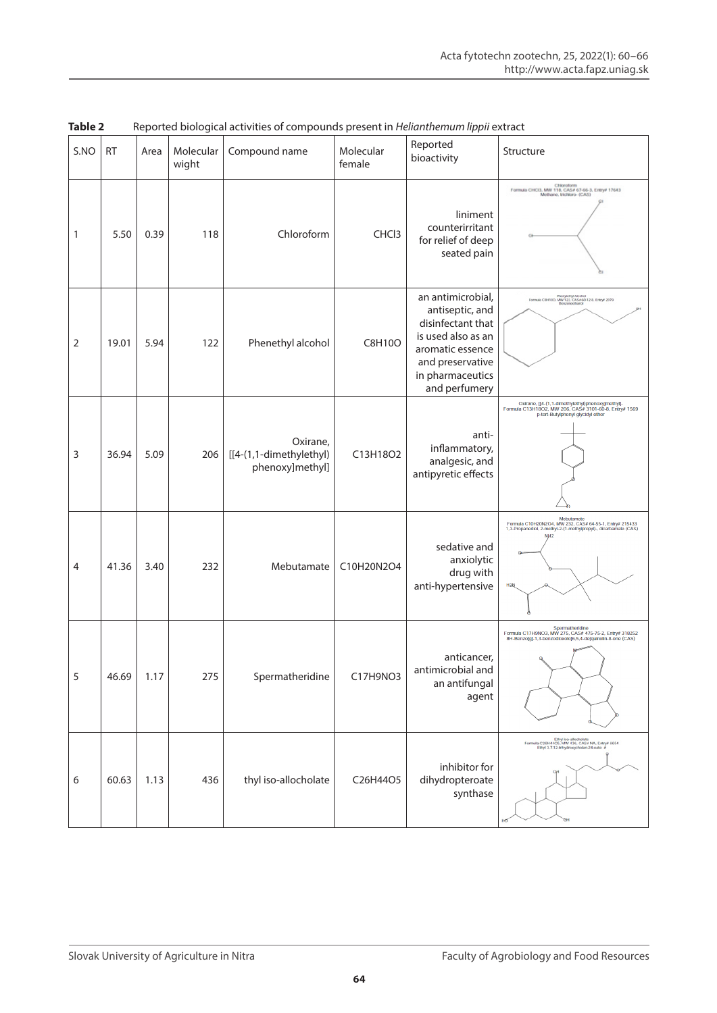| S.NO | <b>RT</b> | Area | Molecular<br>wight | Compound name                                          | Molecular<br>female | Reported<br>bioactivity                                                                                                                                      | Structure                                                                                                                                                     |
|------|-----------|------|--------------------|--------------------------------------------------------|---------------------|--------------------------------------------------------------------------------------------------------------------------------------------------------------|---------------------------------------------------------------------------------------------------------------------------------------------------------------|
| 1    | 5.50      | 0.39 | 118                | Chloroform                                             | CHCl3               | liniment<br>counterirritant<br>for relief of deep<br>seated pain                                                                                             | Formula CHCI3, MW 118, CAS# 67-66-3, Entry# 17643<br>Methane, trichloro- (CAS)                                                                                |
| 2    | 19.01     | 5.94 | 122                | Phenethyl alcohol                                      | C8H10O              | an antimicrobial,<br>antiseptic, and<br>disinfectant that<br>is used also as an<br>aromatic essence<br>and preservative<br>in pharmaceutics<br>and perfumery | Phonylothyl Alcohol<br>Formula CBH100, MW 122, CAS# 60-12-8, Entry# 2079                                                                                      |
| 3    | 36.94     | 5.09 | 206                | Oxirane,<br>[[4-(1,1-dimethylethyl)<br>phenoxy]methyl] | C13H18O2            | anti-<br>inflammatory,<br>analgesic, and<br>antipyretic effects                                                                                              | Oxirane, [[4-(1,1-dimethylethyl)phenoxy]methyl]-<br>Formula C13H18O2, MW 206, CAS# 3101-60-8, Entry# 1569<br>p-tert-Butylphenyl glycidyl ether                |
| 4    | 41.36     | 3.40 | 232                | Mebutamate                                             | C10H20N2O4          | sedative and<br>anxiolytic<br>drug with<br>anti-hypertensive                                                                                                 | Mebutamate<br>Formula C10H20N2O4, MW 232, CAS# 64-55-1, Entry# 215433<br>1,3-Propanediol, 2-methyl-2-(1-methylpropyl)-, dicarbamate (CAS)<br>H <sub>2</sub> V |
| 5    | 46.69     | 1.17 | 275                | Spermatheridine                                        | C17H9NO3            | anticancer,<br>antimicrobial and<br>an antifungal<br>agent                                                                                                   | Spermatheridine<br>Formula C17H9NO3, MW 275, CAS# 475-75-2, Entry# 318252<br>8H-Benzo[g]-1,3-benzodioxolo[6,5,4-de]quinolin-8-one (CAS)                       |
| 6    | 60.63     | 1.13 | 436                | thyl iso-allocholate                                   | C26H44O5            | inhibitor for<br>dihydropteroate<br>synthase                                                                                                                 | Ethyl iso-allocholate<br>Formula C26H44O5, MW 436, CAS# NA, Entry# 6654<br>Ethyl 3.7.12-trihydroxycholan-24-oate #                                            |

**Table 2** Reported biological activities of compounds present in *Helianthemum lippii* extract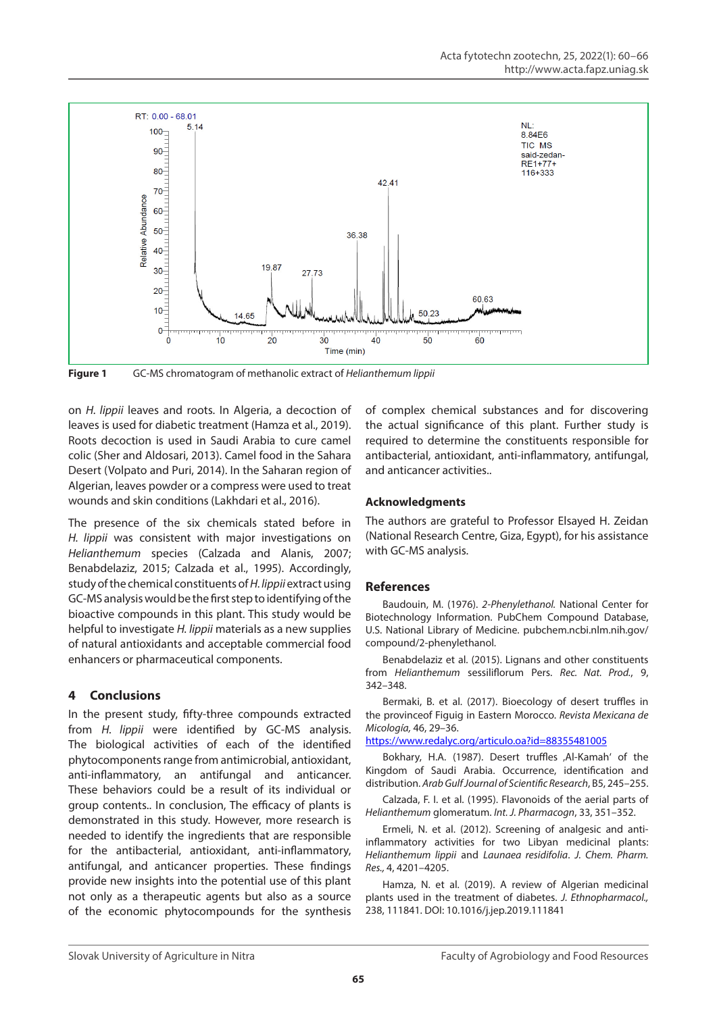

**Figure 1** GC-MS chromatogram of methanolic extract of *Helianthemum lippii*

on *H. lippii* leaves and roots. In Algeria, a decoction of leaves is used for diabetic treatment (Hamza et al., 2019). Roots decoction is used in Saudi Arabia to cure camel colic (Sher and Aldosari, 2013). Camel food in the Sahara Desert (Volpato and Puri, 2014). In the Saharan region of Algerian, leaves powder or a compress were used to treat wounds and skin conditions (Lakhdari et al., 2016).

The presence of the six chemicals stated before in *H. lippii* was consistent with major investigations on *Helianthemum* species (Calzada and Alanis, 2007; Benabdelaziz, 2015; Calzada et al., 1995). Accordingly, study of the chemical constituents of *H. lippii* extract using GC-MS analysis would be the first step to identifying of the bioactive compounds in this plant. This study would be helpful to investigate *H. lippii* materials as a new supplies of natural antioxidants and acceptable commercial food enhancers or pharmaceutical components.

# **4 Conclusions**

In the present study, fifty-three compounds extracted from *H. lippii* were identified by GC-MS analysis. The biological activities of each of the identified phytocomponents range from antimicrobial, antioxidant, anti-inflammatory, an antifungal and anticancer. These behaviors could be a result of its individual or group contents.. In conclusion, The efficacy of plants is demonstrated in this study. However, more research is needed to identify the ingredients that are responsible for the antibacterial, antioxidant, anti-inflammatory, antifungal, and anticancer properties. These findings provide new insights into the potential use of this plant not only as a therapeutic agents but also as a source of the economic phytocompounds for the synthesis of complex chemical substances and for discovering the actual significance of this plant. Further study is required to determine the constituents responsible for antibacterial, antioxidant, anti-inflammatory, antifungal, and anticancer activities..

### **Acknowledgments**

The authors are grateful to Professor Elsayed H. Zeidan (National Research Centre, Giza, Egypt), for his assistance with GC-MS analysis.

### **References**

Baudouin, M. (1976). *2-Phenylethanol.* National Center for Biotechnology Information. PubChem Compound Database, U.S. National Library of Medicine. pubchem.ncbi.nlm.nih.gov/ compound/2-phenylethanol.

Benabdelaziz et al. (2015). Lignans and other constituents from *Helianthemum* sessiliflorum Pers. *Rec. Nat. Prod.*, 9, 342–348.

Bermaki, B. et al. (2017). Bioecology of desert truffles in the provinceof Figuig in Eastern Morocco. *Revista Mexicana de Micología,* 46, 29–36.

<https://www.redalyc.org/articulo.oa?id=88355481005>

Bokhary, H.A. (1987). Desert truffles ,Al-Kamah' of the Kingdom of Saudi Arabia. Occurrence, identification and distribution. *Arab Gulf Journal of Scientific Research*, B5, 245–255.

Calzada, F. I. et al. (1995). Flavonoids of the aerial parts of *Helianthemum* glomeratum. *Int. J. Pharmacogn*, 33, 351–352.

Ermeli, N. et al. (2012). Screening of analgesic and antiinflammatory activities for two Libyan medicinal plants: *Helianthemum lippii* and *Launaea residifolia*. *J. Chem. Pharm. Res.,* 4, 4201–4205.

Hamza, N. et al. (2019). A review of Algerian medicinal plants used in the treatment of diabetes. *J. Ethnopharmacol.,*  238, 111841. DOI: 10.1016/j.jep.2019.111841